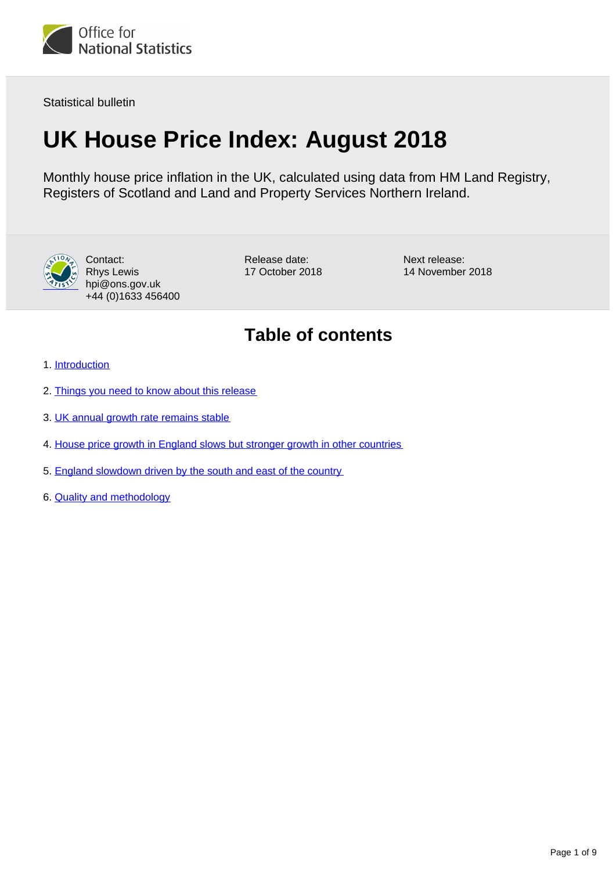

Statistical bulletin

# **UK House Price Index: August 2018**

Monthly house price inflation in the UK, calculated using data from HM Land Registry, Registers of Scotland and Land and Property Services Northern Ireland.



Contact: Rhys Lewis hpi@ons.gov.uk +44 (0)1633 456400

Release date: 17 October 2018 Next release: 14 November 2018

# **Table of contents**

- 1. [Introduction](#page-1-0)
- 2. [Things you need to know about this release](#page-1-1)
- 3. [UK annual growth rate remains stable](#page-1-2)
- 4. [House price growth in England slows but stronger growth in other countries](#page-3-0)
- 5. [England slowdown driven by the south and east of the country](#page-4-0)
- 6. [Quality and methodology](#page-7-0)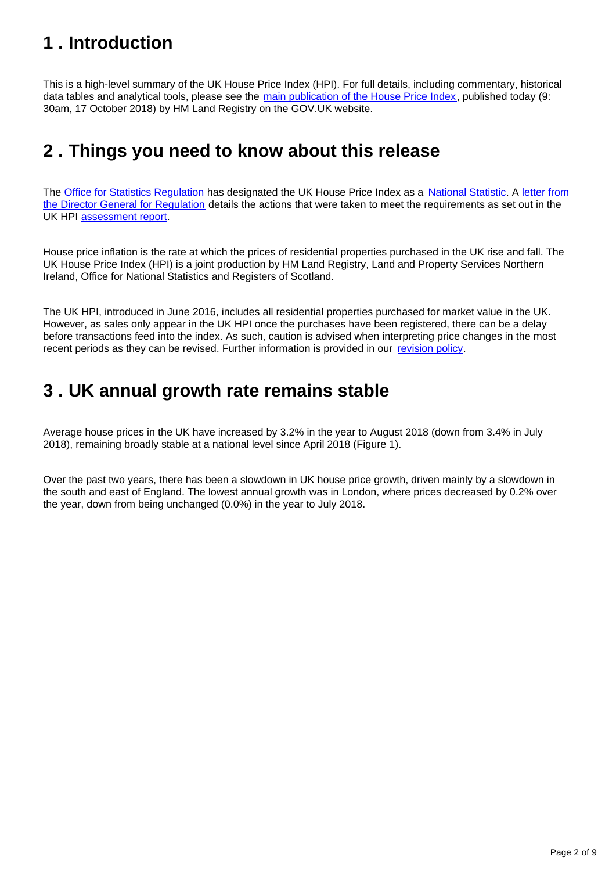# <span id="page-1-0"></span>**1 . Introduction**

This is a high-level summary of the UK House Price Index (HPI). For full details, including commentary, historical data tables and analytical tools, please see the [main publication of the House Price Index,](https://www.gov.uk/government/collections/uk-house-price-index-reports) published today (9: 30am, 17 October 2018) by HM Land Registry on the GOV.UK website.

### <span id="page-1-1"></span>**2 . Things you need to know about this release**

The [Office for Statistics Regulation](https://www.statisticsauthority.gov.uk/) has designated the UK House Price Index as a [National Statistic](https://www.statisticsauthority.gov.uk/about-the-authority/uk-statistical-system/types-of-official-statistics/). A letter from [the Director General for Regulation](https://www.statisticsauthority.gov.uk/correspondence/uk-house-price-index-statistics-national-statistics-confirmation/) details the actions that were taken to meet the requirements as set out in the UK HPI [assessment report.](https://www.statisticsauthority.gov.uk/publication/uk-and-northern-ireland-house-price-indices-phase-2-hm-land-registry-and-partners/)

House price inflation is the rate at which the prices of residential properties purchased in the UK rise and fall. The UK House Price Index (HPI) is a joint production by HM Land Registry, Land and Property Services Northern Ireland, Office for National Statistics and Registers of Scotland.

The UK HPI, introduced in June 2016, includes all residential properties purchased for market value in the UK. However, as sales only appear in the UK HPI once the purchases have been registered, there can be a delay before transactions feed into the index. As such, caution is advised when interpreting price changes in the most recent periods as they can be revised. Further information is provided in our [revision policy.](https://www.gov.uk/government/publications/about-the-uk-house-price-index/about-the-uk-house-price-index)

### <span id="page-1-2"></span>**3 . UK annual growth rate remains stable**

Average house prices in the UK have increased by 3.2% in the year to August 2018 (down from 3.4% in July 2018), remaining broadly stable at a national level since April 2018 (Figure 1).

Over the past two years, there has been a slowdown in UK house price growth, driven mainly by a slowdown in the south and east of England. The lowest annual growth was in London, where prices decreased by 0.2% over the year, down from being unchanged (0.0%) in the year to July 2018.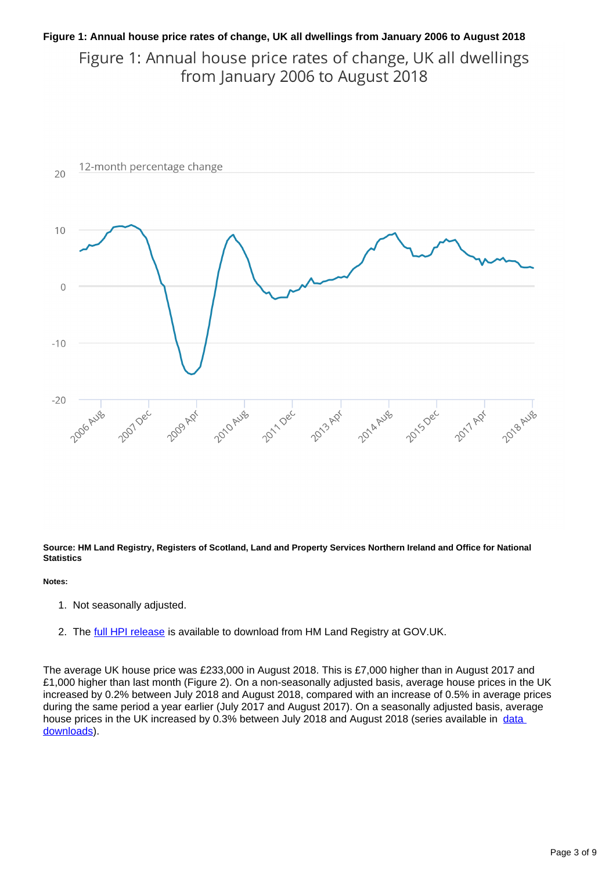### **Figure 1: Annual house price rates of change, UK all dwellings from January 2006 to August 2018** Figure 1: Annual house price rates of change, UK all dwellings from January 2006 to August 2018



**Source: HM Land Registry, Registers of Scotland, Land and Property Services Northern Ireland and Office for National Statistics**

#### **Notes:**

- 1. Not seasonally adjusted.
- 2. The [full HPI release](https://www.gov.uk/government/collections/uk-house-price-index-reports) is available to download from HM Land Registry at GOV.UK.

The average UK house price was £233,000 in August 2018. This is £7,000 higher than in August 2017 and £1,000 higher than last month (Figure 2). On a non-seasonally adjusted basis, average house prices in the UK increased by 0.2% between July 2018 and August 2018, compared with an increase of 0.5% in average prices during the same period a year earlier (July 2017 and August 2017). On a seasonally adjusted basis, average house prices in the UK increased by 0.3% between July 2018 and August 2018 (series available in data [downloads](https://www.gov.uk/government/statistical-data-sets/uk-house-price-index-data-downloads-august-2018)).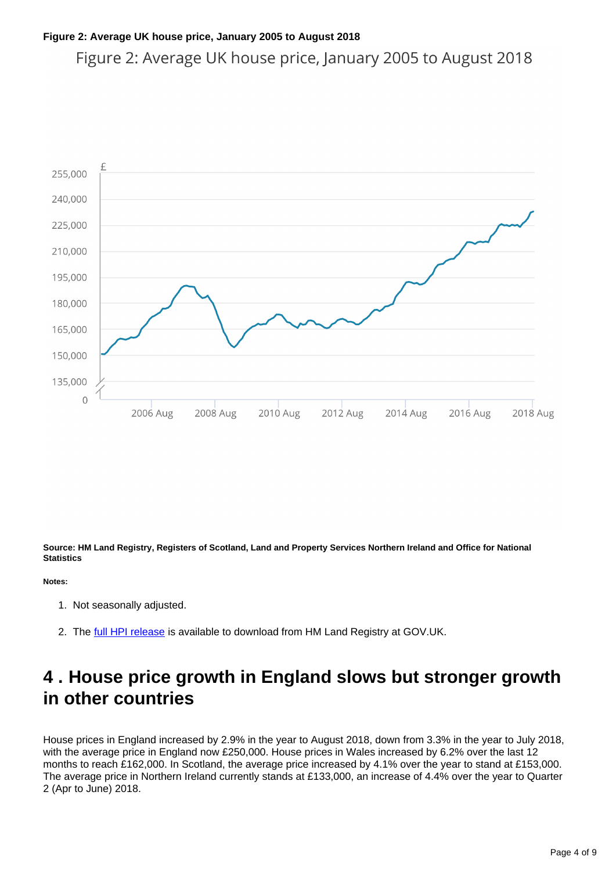### **Figure 2: Average UK house price, January 2005 to August 2018**

Figure 2: Average UK house price, January 2005 to August 2018



**Source: HM Land Registry, Registers of Scotland, Land and Property Services Northern Ireland and Office for National Statistics**

### **Notes:**

- 1. Not seasonally adjusted.
- 2. The [full HPI release](https://www.gov.uk/government/collections/uk-house-price-index-reports) is available to download from HM Land Registry at GOV.UK.

### <span id="page-3-0"></span>**4 . House price growth in England slows but stronger growth in other countries**

House prices in England increased by 2.9% in the year to August 2018, down from 3.3% in the year to July 2018, with the average price in England now £250,000. House prices in Wales increased by 6.2% over the last 12 months to reach £162,000. In Scotland, the average price increased by 4.1% over the year to stand at £153,000. The average price in Northern Ireland currently stands at £133,000, an increase of 4.4% over the year to Quarter 2 (Apr to June) 2018.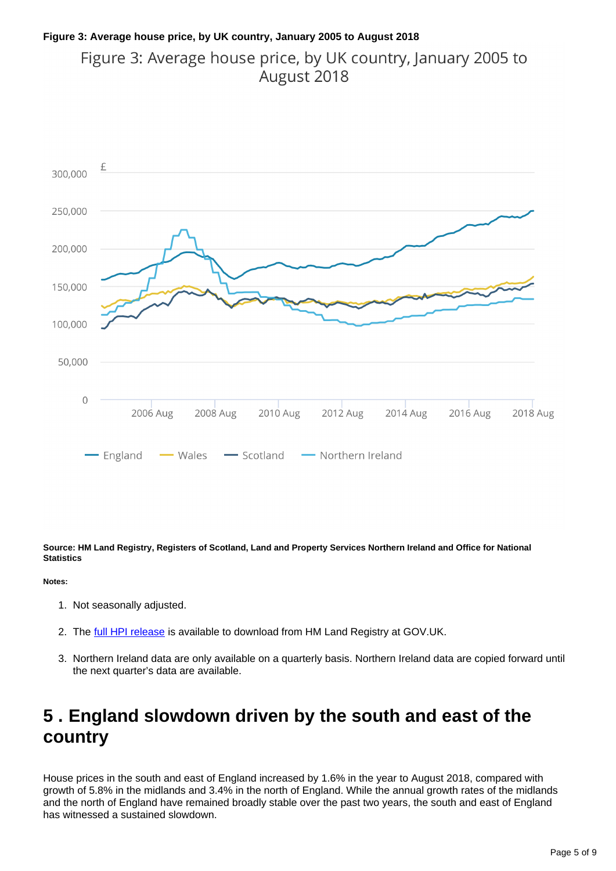# **Figure 3: Average house price, by UK country, January 2005 to August 2018**

Figure 3: Average house price, by UK country, January 2005 to August 2018



**Source: HM Land Registry, Registers of Scotland, Land and Property Services Northern Ireland and Office for National Statistics**

#### **Notes:**

- 1. Not seasonally adjusted.
- 2. The [full HPI release](https://www.gov.uk/government/collections/uk-house-price-index-reports) is available to download from HM Land Registry at GOV.UK.
- 3. Northern Ireland data are only available on a quarterly basis. Northern Ireland data are copied forward until the next quarter's data are available.

# <span id="page-4-0"></span>**5 . England slowdown driven by the south and east of the country**

House prices in the south and east of England increased by 1.6% in the year to August 2018, compared with growth of 5.8% in the midlands and 3.4% in the north of England. While the annual growth rates of the midlands and the north of England have remained broadly stable over the past two years, the south and east of England has witnessed a sustained slowdown.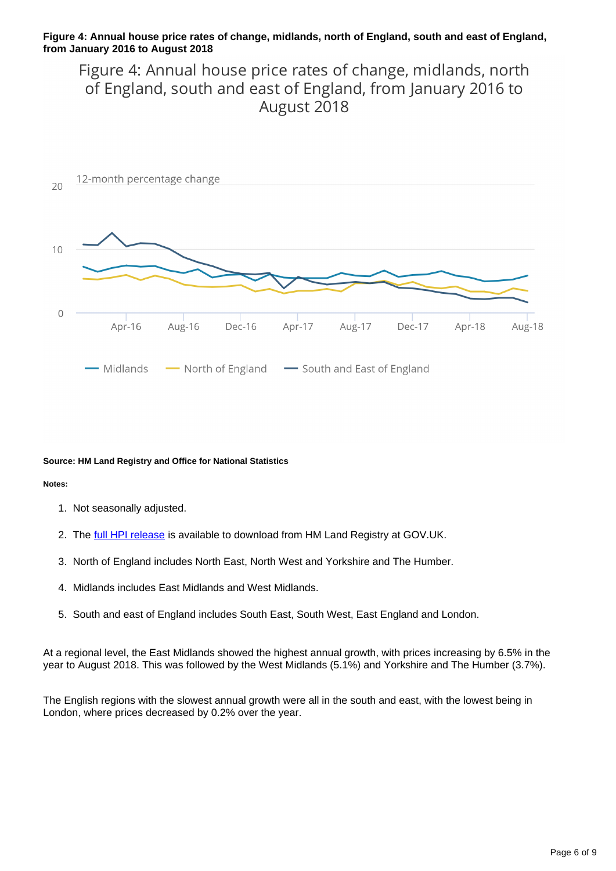#### **Figure 4: Annual house price rates of change, midlands, north of England, south and east of England, from January 2016 to August 2018**

Figure 4: Annual house price rates of change, midlands, north of England, south and east of England, from January 2016 to August 2018



#### **Source: HM Land Registry and Office for National Statistics**

#### **Notes:**

- 1. Not seasonally adjusted.
- 2. The [full HPI release](https://www.gov.uk/government/collections/uk-house-price-index-reports) is available to download from HM Land Registry at GOV.UK.
- 3. North of England includes North East, North West and Yorkshire and The Humber.
- 4. Midlands includes East Midlands and West Midlands.
- 5. South and east of England includes South East, South West, East England and London.

At a regional level, the East Midlands showed the highest annual growth, with prices increasing by 6.5% in the year to August 2018. This was followed by the West Midlands (5.1%) and Yorkshire and The Humber (3.7%).

The English regions with the slowest annual growth were all in the south and east, with the lowest being in London, where prices decreased by 0.2% over the year.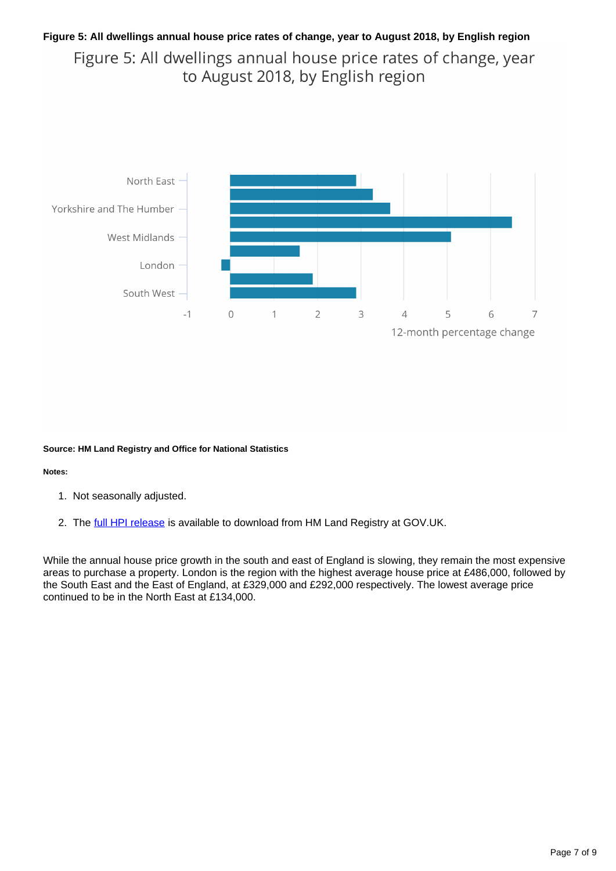### **Figure 5: All dwellings annual house price rates of change, year to August 2018, by English region**

Figure 5: All dwellings annual house price rates of change, year to August 2018, by English region



#### **Source: HM Land Registry and Office for National Statistics**

#### **Notes:**

- 1. Not seasonally adjusted.
- 2. The [full HPI release](https://www.gov.uk/government/collections/uk-house-price-index-reports) is available to download from HM Land Registry at GOV.UK.

While the annual house price growth in the south and east of England is slowing, they remain the most expensive areas to purchase a property. London is the region with the highest average house price at £486,000, followed by the South East and the East of England, at £329,000 and £292,000 respectively. The lowest average price continued to be in the North East at £134,000.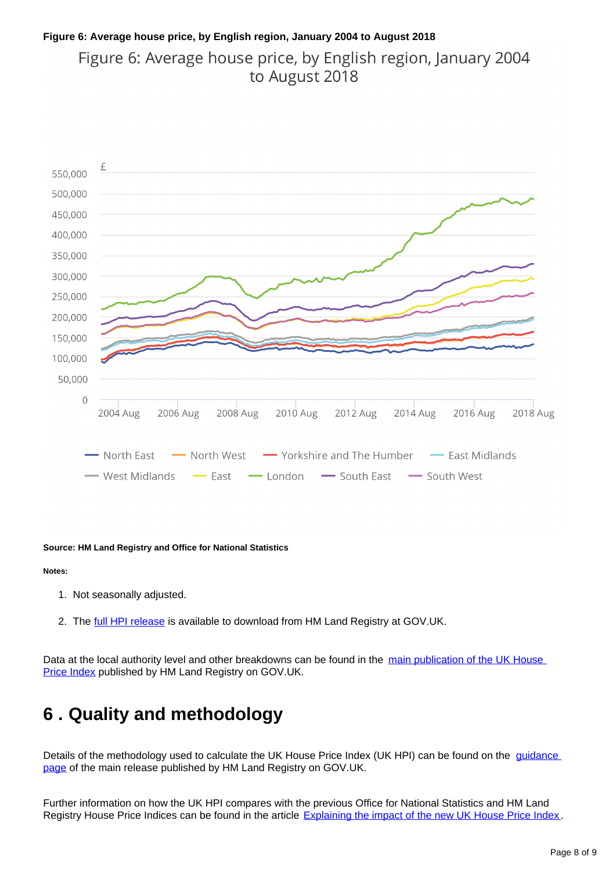### **Figure 6: Average house price, by English region, January 2004 to August 2018**

Figure 6: Average house price, by English region, January 2004 to August 2018



#### **Source: HM Land Registry and Office for National Statistics**

#### **Notes:**

- 1. Not seasonally adjusted.
- 2. The [full HPI release](https://www.gov.uk/government/collections/uk-house-price-index-reports) is available to download from HM Land Registry at GOV.UK.

Data at the local authority level and other breakdowns can be found in the main publication of the UK House [Price Index](https://www.gov.uk/government/collections/uk-house-price-index-reports) published by HM Land Registry on GOV.UK.

### <span id="page-7-0"></span>**6 . Quality and methodology**

Details of the methodology used to calculate the UK House Price Index (UK HPI) can be found on the *guidance* [page](https://www.gov.uk/government/publications/about-the-uk-house-price-index/) of the main release published by HM Land Registry on GOV.UK.

Further information on how the UK HPI compares with the previous Office for National Statistics and HM Land Registry House Price Indices can be found in the article [Explaining the impact of the new UK House Price Index](https://www.ons.gov.uk/economy/inflationandpriceindices/articles/explainingtheimpactofthenewukhousepriceindex/may2016).